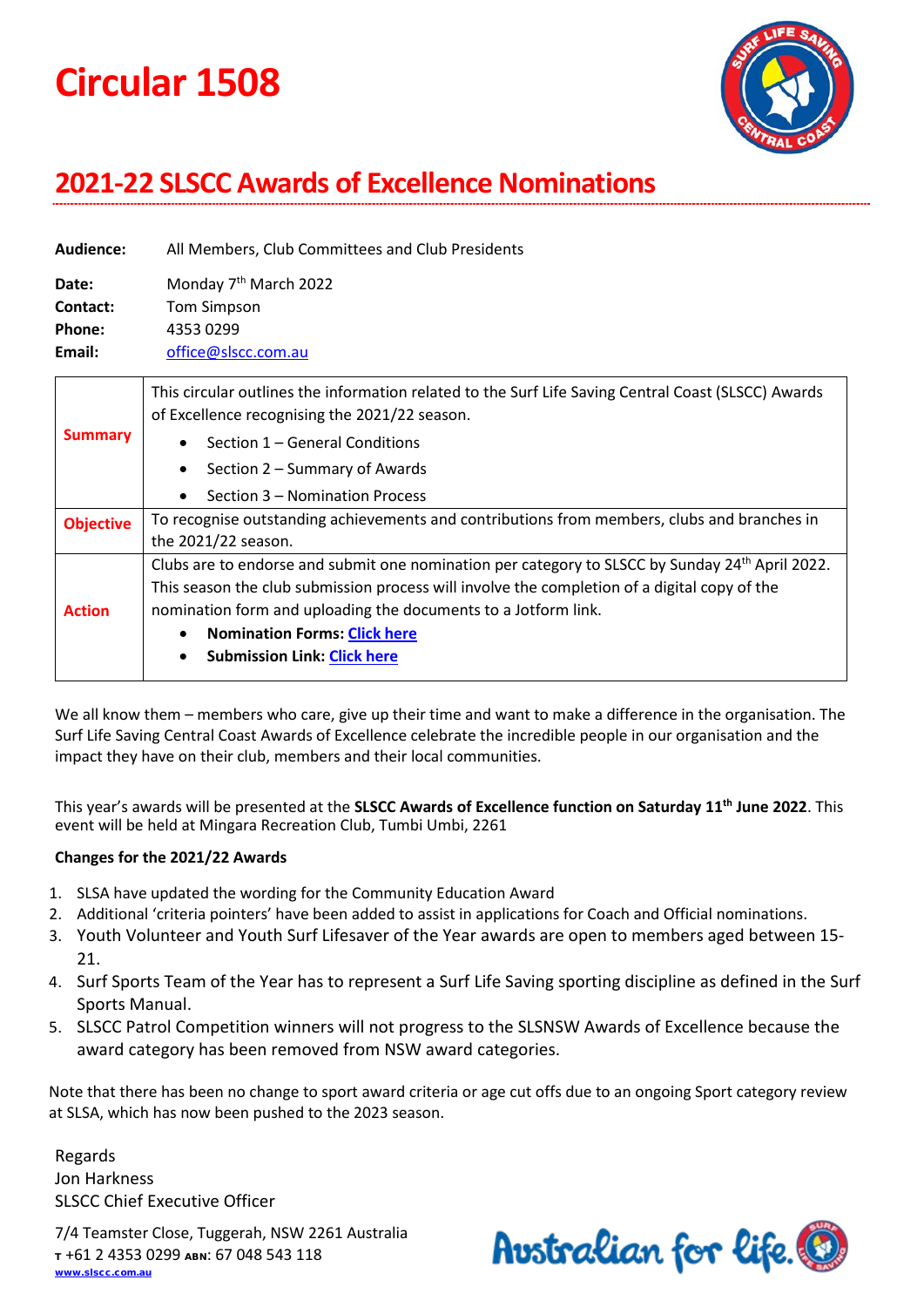# **Circular 1508**



# **2021-22 SLSCC Awards of Excellence Nominations**

| Audience:        | All Members, Club Committees and Club Presidents                                                                                                                                                                                                                                                 |
|------------------|--------------------------------------------------------------------------------------------------------------------------------------------------------------------------------------------------------------------------------------------------------------------------------------------------|
| Date:            | Monday 7 <sup>th</sup> March 2022                                                                                                                                                                                                                                                                |
| Contact:         | <b>Tom Simpson</b>                                                                                                                                                                                                                                                                               |
| Phone:           | 4353 0299                                                                                                                                                                                                                                                                                        |
| Email:           | office@slscc.com.au                                                                                                                                                                                                                                                                              |
| <b>Summary</b>   | This circular outlines the information related to the Surf Life Saving Central Coast (SLSCC) Awards<br>of Excellence recognising the 2021/22 season.<br>Section 1 – General Conditions<br>$\bullet$<br>Section 2 – Summary of Awards<br>$\bullet$<br>Section 3 - Nomination Process<br>$\bullet$ |
| <b>Objective</b> | To recognise outstanding achievements and contributions from members, clubs and branches in<br>the 2021/22 season.                                                                                                                                                                               |

**Action** Clubs are to endorse and submit one nomination per category to SLSCC by Sunday 24<sup>th</sup> April 2022. This season the club submission process will involve the completion of a digital copy of the nomination form and uploading the documents to a Jotform link.

- **Nomination Forms: [Click here](https://slscc.com.au/gwswp/events/awards-of-excellence/#AOESubmissions)**
- **Submission Link: [Click here](https://slscc.com.au/gwswp/events/awards-of-excellence/#AOESubmissions)**

We all know them – members who care, give up their time and want to make a difference in the organisation. The Surf Life Saving Central Coast Awards of Excellence celebrate the incredible people in our organisation and the impact they have on their club, members and their local communities.

This year's awards will be presented at the **SLSCC Awards of Excellence function on Saturday 11th June 2022**. This event will be held at Mingara Recreation Club, Tumbi Umbi, 2261

#### **Changes for the 2021/22 Awards**

- 1. SLSA have updated the wording for the Community Education Award
- 2. Additional 'criteria pointers' have been added to assist in applications for Coach and Official nominations.
- 3. Youth Volunteer and Youth Surf Lifesaver of the Year awards are open to members aged between 15- 21.
- 4. Surf Sports Team of the Year has to represent a Surf Life Saving sporting discipline as defined in the Surf Sports Manual.
- 5. SLSCC Patrol Competition winners will not progress to the SLSNSW Awards of Excellence because the award category has been removed from NSW award categories.

Note that there has been no change to sport award criteria or age cut offs due to an ongoing Sport category review at SLSA, which has now been pushed to the 2023 season.

Regards Jon Harkness SLSCC Chief Executive Officer

7/4 Teamster Close, Tuggerah, NSW 2261 Australia <sup>T</sup> +61 2 4353 0299 ABN: 67 048 543 118 [www.slscc.com.au](http://www.slscc.com.au/)

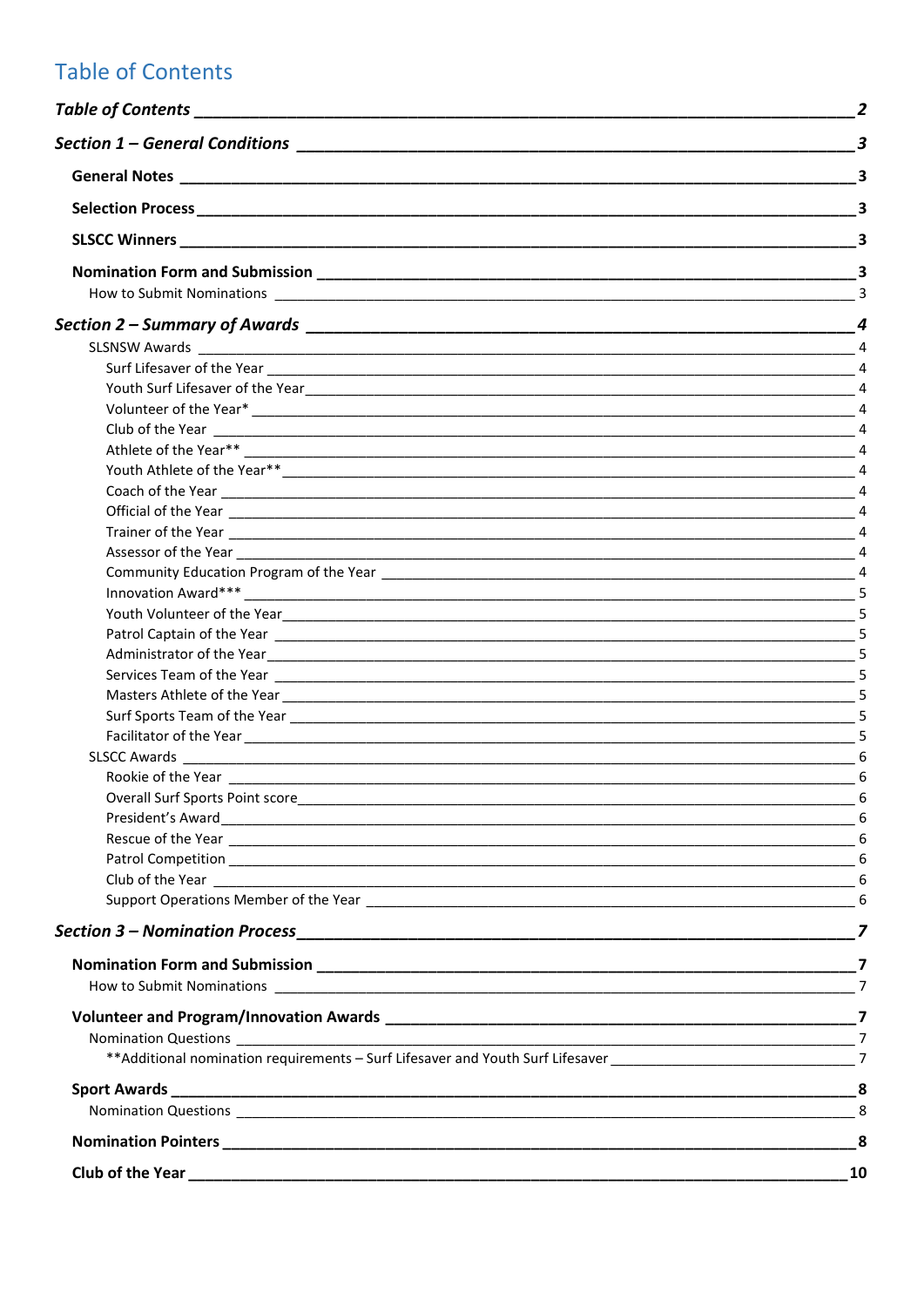# <span id="page-1-0"></span>**Table of Contents**

|                                                                                                                | $\overline{a}$ |
|----------------------------------------------------------------------------------------------------------------|----------------|
|                                                                                                                |                |
|                                                                                                                |                |
|                                                                                                                |                |
|                                                                                                                |                |
|                                                                                                                |                |
| Patrol Captain of the Year 2008 Captain of the Year 2008 Captain 2008 Captain 2008 Captain 2008 Captain 2008 C |                |
|                                                                                                                |                |
|                                                                                                                |                |
|                                                                                                                |                |
|                                                                                                                |                |
|                                                                                                                |                |
|                                                                                                                |                |
|                                                                                                                |                |
|                                                                                                                |                |
|                                                                                                                |                |
|                                                                                                                |                |
|                                                                                                                |                |
|                                                                                                                |                |
|                                                                                                                |                |
|                                                                                                                |                |
|                                                                                                                |                |
|                                                                                                                |                |
|                                                                                                                |                |
|                                                                                                                |                |
|                                                                                                                |                |
|                                                                                                                |                |
|                                                                                                                |                |
|                                                                                                                |                |
|                                                                                                                |                |
|                                                                                                                |                |
|                                                                                                                |                |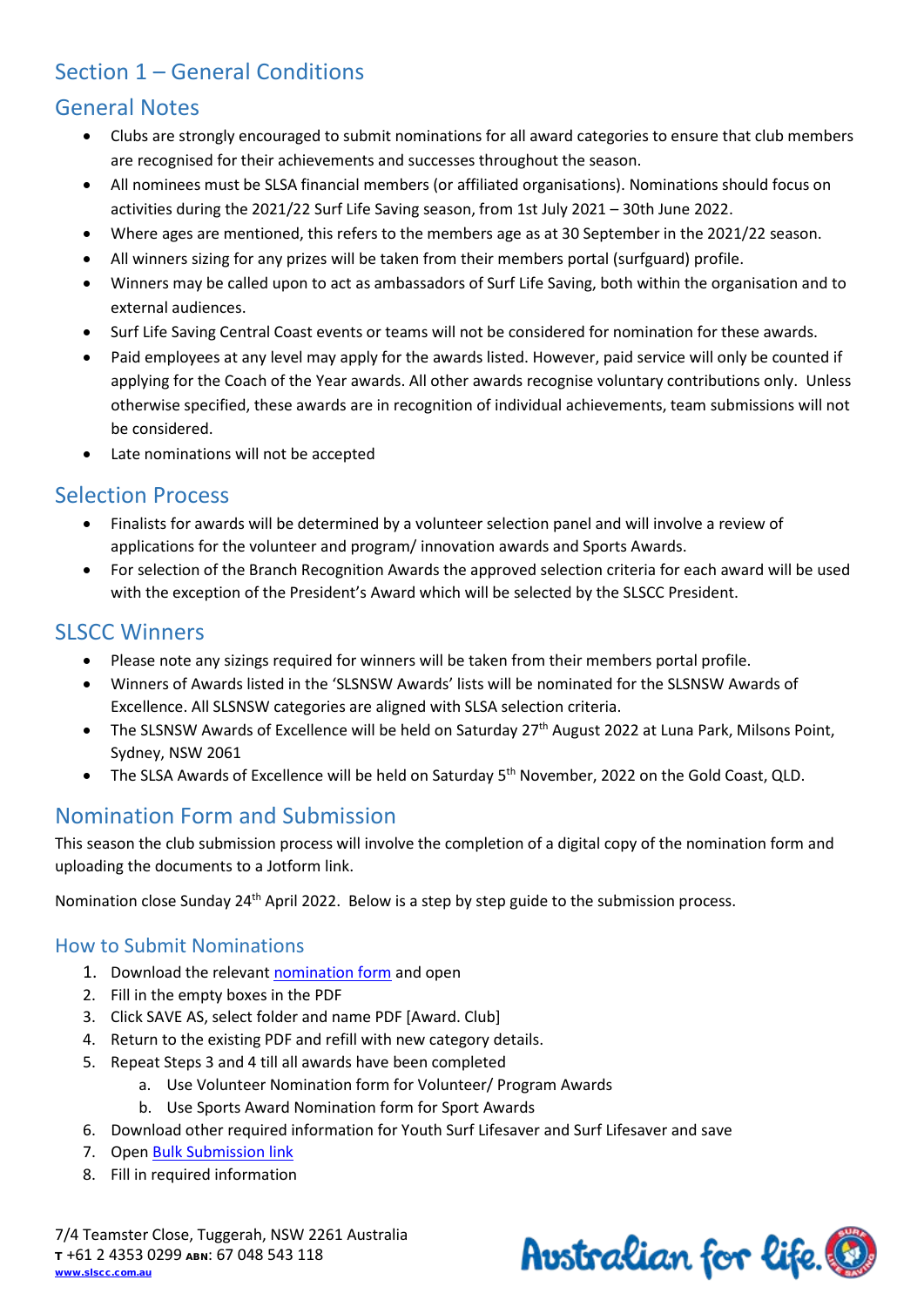# <span id="page-2-0"></span>Section 1 – General Conditions

# <span id="page-2-1"></span>General Notes

- Clubs are strongly encouraged to submit nominations for all award categories to ensure that club members are recognised for their achievements and successes throughout the season.
- All nominees must be SLSA financial members (or affiliated organisations). Nominations should focus on activities during the 2021/22 Surf Life Saving season, from 1st July 2021 – 30th June 2022.
- Where ages are mentioned, this refers to the members age as at 30 September in the 2021/22 season.
- All winners sizing for any prizes will be taken from their members portal (surfguard) profile.
- Winners may be called upon to act as ambassadors of Surf Life Saving, both within the organisation and to external audiences.
- Surf Life Saving Central Coast events or teams will not be considered for nomination for these awards.
- Paid employees at any level may apply for the awards listed. However, paid service will only be counted if applying for the Coach of the Year awards. All other awards recognise voluntary contributions only. Unless otherwise specified, these awards are in recognition of individual achievements, team submissions will not be considered.
- Late nominations will not be accepted

# <span id="page-2-2"></span>Selection Process

- Finalists for awards will be determined by a volunteer selection panel and will involve a review of applications for the volunteer and program/ innovation awards and Sports Awards.
- For selection of the Branch Recognition Awards the approved selection criteria for each award will be used with the exception of the President's Award which will be selected by the SLSCC President.

# <span id="page-2-3"></span>**SLSCC Winners**

- Please note any sizings required for winners will be taken from their members portal profile.
- Winners of Awards listed in the 'SLSNSW Awards' lists will be nominated for the SLSNSW Awards of Excellence. All SLSNSW categories are aligned with SLSA selection criteria.
- The SLSNSW Awards of Excellence will be held on Saturday 27<sup>th</sup> August 2022 at Luna Park, Milsons Point, Sydney, NSW 2061
- The SLSA Awards of Excellence will be held on Saturday 5<sup>th</sup> November, 2022 on the Gold Coast, QLD.

# <span id="page-2-4"></span>Nomination Form and Submission

This season the club submission process will involve the completion of a digital copy of the nomination form and uploading the documents to a Jotform link.

Nomination close Sunday 24<sup>th</sup> April 2022. Below is a step by step guide to the submission process.

### <span id="page-2-5"></span>How to Submit Nominations

- 1. Download the relevant [nomination form](https://slscc.com.au/gwswp/events/awards-of-excellence/#AOESubmissions) and open
- 2. Fill in the empty boxes in the PDF
- 3. Click SAVE AS, select folder and name PDF [Award. Club]
- 4. Return to the existing PDF and refill with new category details.
- 5. Repeat Steps 3 and 4 till all awards have been completed
	- a. Use Volunteer Nomination form for Volunteer/ Program Awards
		- b. Use Sports Award Nomination form for Sport Awards
- 6. Download other required information for Youth Surf Lifesaver and Surf Lifesaver and save
- 7. Open [Bulk Submission link](https://slscc.com.au/gwswp/events/awards-of-excellence/#AOESubmissions)
- 8. Fill in required information

7/4 Teamster Close, Tuggerah, NSW 2261 Australia <sup>T</sup> +61 2 4353 0299 ABN: 67 048 543 118 [www.slscc.com.au](http://www.slscc.com.au/)

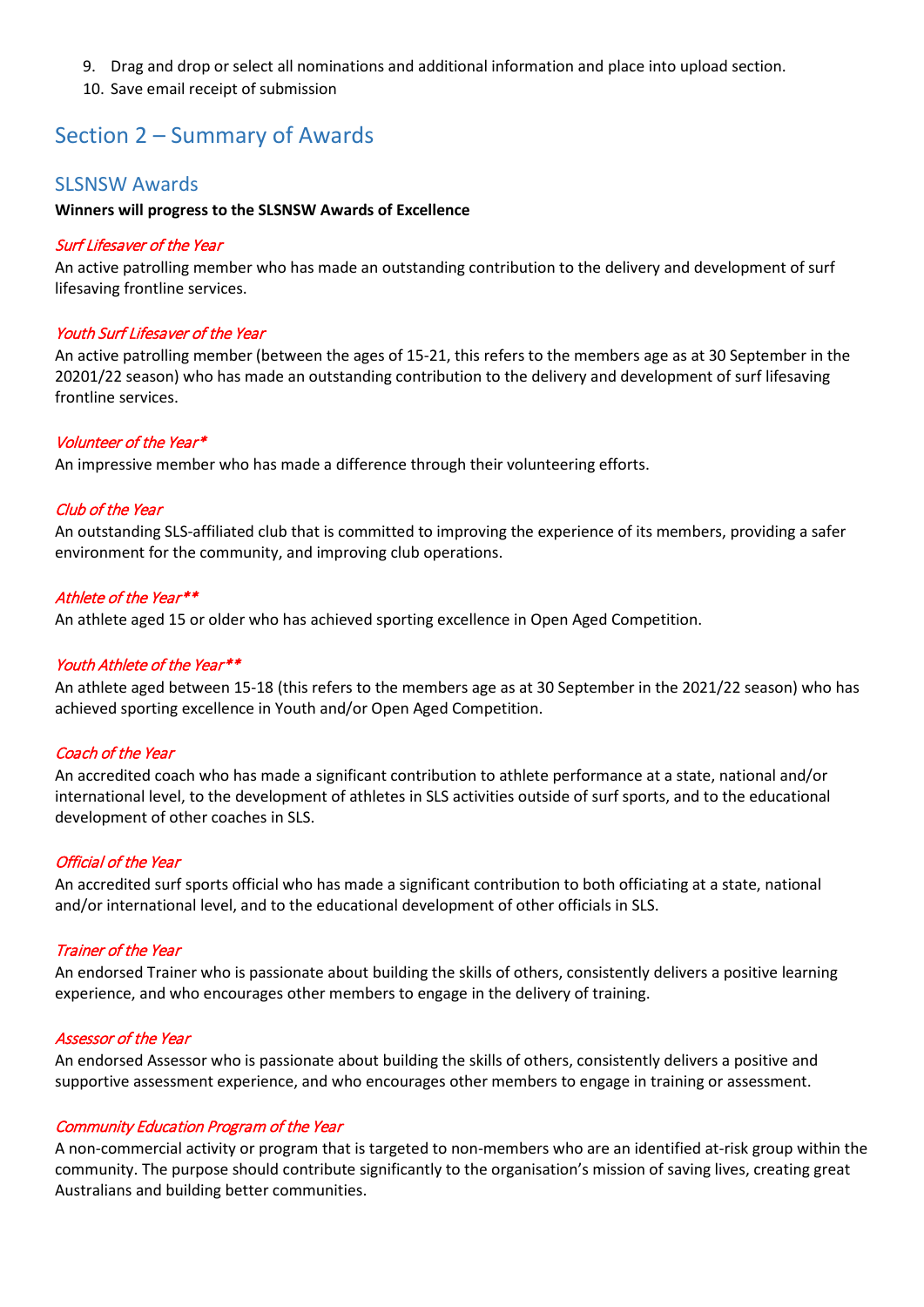- 9. Drag and drop or select all nominations and additional information and place into upload section.
- 10. Save email receipt of submission

# <span id="page-3-0"></span>Section 2 – Summary of Awards

#### <span id="page-3-1"></span>SLSNSW Awards

#### **Winners will progress to the SLSNSW Awards of Excellence**

#### <span id="page-3-2"></span>Surf Lifesaver of the Year

An active patrolling member who has made an outstanding contribution to the delivery and development of surf lifesaving frontline services.

#### <span id="page-3-3"></span>Youth Surf Lifesaver of the Year

An active patrolling member (between the ages of 15-21, this refers to the members age as at 30 September in the 20201/22 season) who has made an outstanding contribution to the delivery and development of surf lifesaving frontline services.

#### <span id="page-3-4"></span>Volunteer of the Year\*

An impressive member who has made a difference through their volunteering efforts.

#### <span id="page-3-5"></span>Club of the Year

An outstanding SLS-affiliated club that is committed to improving the experience of its members, providing a safer environment for the community, and improving club operations.

#### <span id="page-3-6"></span>Athlete of the Year\*\*

An athlete aged 15 or older who has achieved sporting excellence in Open Aged Competition.

#### <span id="page-3-7"></span>Youth Athlete of the Year\*\*

An athlete aged between 15-18 (this refers to the members age as at 30 September in the 2021/22 season) who has achieved sporting excellence in Youth and/or Open Aged Competition.

#### <span id="page-3-8"></span>Coach of the Year

An accredited coach who has made a significant contribution to athlete performance at a state, national and/or international level, to the development of athletes in SLS activities outside of surf sports, and to the educational development of other coaches in SLS.

#### <span id="page-3-9"></span>Official of the Year

An accredited surf sports official who has made a significant contribution to both officiating at a state, national and/or international level, and to the educational development of other officials in SLS.

#### <span id="page-3-10"></span>Trainer of the Year

An endorsed Trainer who is passionate about building the skills of others, consistently delivers a positive learning experience, and who encourages other members to engage in the delivery of training.

#### <span id="page-3-11"></span>Assessor of the Year

An endorsed Assessor who is passionate about building the skills of others, consistently delivers a positive and supportive assessment experience, and who encourages other members to engage in training or assessment.

#### <span id="page-3-12"></span>Community Education Program of the Year

A non-commercial activity or program that is targeted to non-members who are an identified at-risk group within the community. The purpose should contribute significantly to the organisation's mission of saving lives, creating great Australians and building better communities.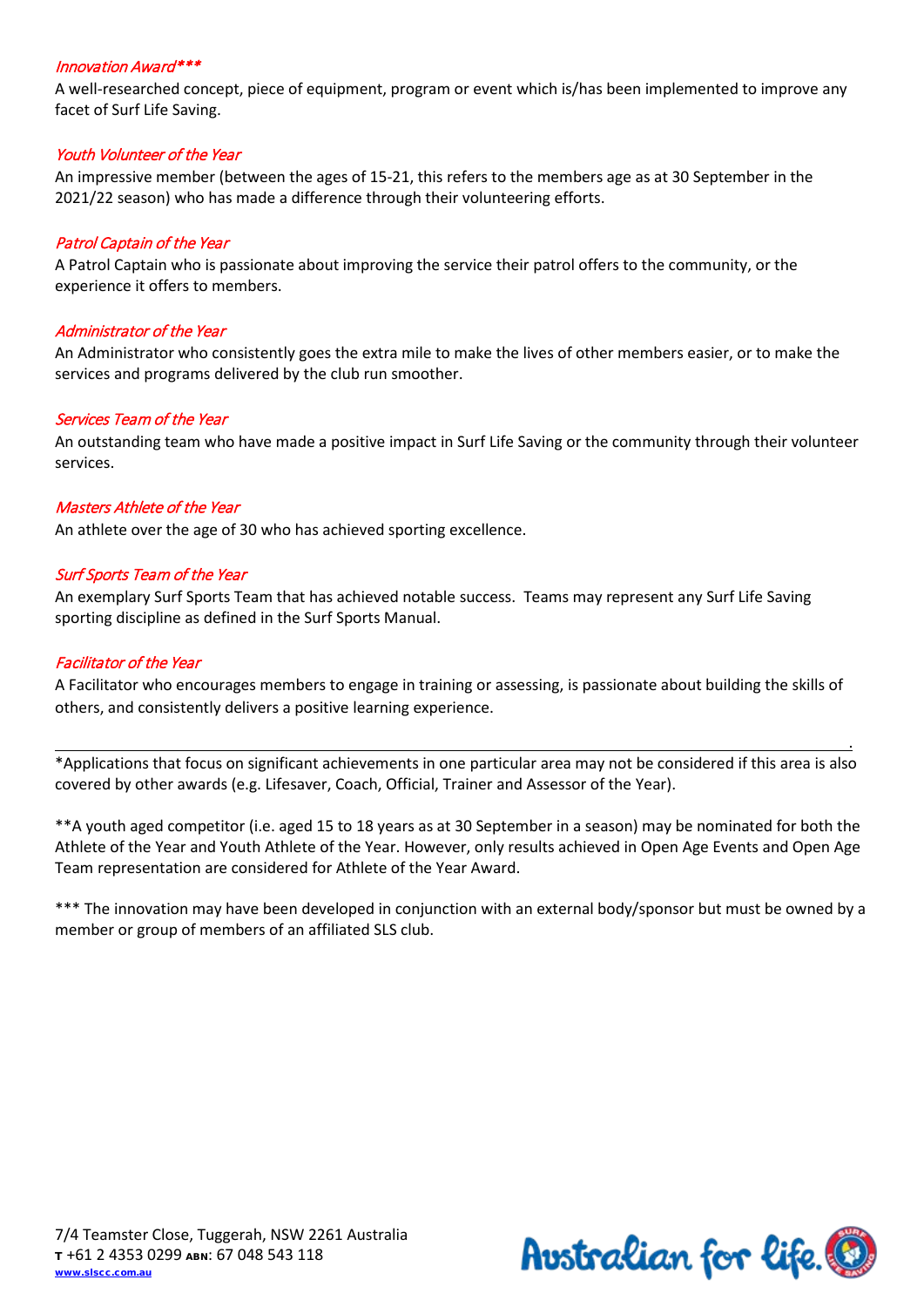#### <span id="page-4-0"></span>Innovation Award\*\*\*

A well-researched concept, piece of equipment, program or event which is/has been implemented to improve any facet of Surf Life Saving.

#### <span id="page-4-1"></span>Youth Volunteer of the Year

An impressive member (between the ages of 15-21, this refers to the members age as at 30 September in the 2021/22 season) who has made a difference through their volunteering efforts.

#### <span id="page-4-2"></span>Patrol Captain of the Year

A Patrol Captain who is passionate about improving the service their patrol offers to the community, or the experience it offers to members.

#### <span id="page-4-3"></span>Administrator of the Year

An Administrator who consistently goes the extra mile to make the lives of other members easier, or to make the services and programs delivered by the club run smoother.

#### <span id="page-4-4"></span>Services Team of the Year

An outstanding team who have made a positive impact in Surf Life Saving or the community through their volunteer services.

#### <span id="page-4-5"></span>Masters Athlete of the Year

An athlete over the age of 30 who has achieved sporting excellence.

#### <span id="page-4-6"></span>Surf Sports Team of the Year

An exemplary Surf Sports Team that has achieved notable success. Teams may represent any Surf Life Saving sporting discipline as defined in the Surf Sports Manual.

#### <span id="page-4-7"></span>Facilitator of the Year

A Facilitator who encourages members to engage in training or assessing, is passionate about building the skills of others, and consistently delivers a positive learning experience.

\*Applications that focus on significant achievements in one particular area may not be considered if this area is also covered by other awards (e.g. Lifesaver, Coach, Official, Trainer and Assessor of the Year).

\*\*A youth aged competitor (i.e. aged 15 to 18 years as at 30 September in a season) may be nominated for both the Athlete of the Year and Youth Athlete of the Year. However, only results achieved in Open Age Events and Open Age Team representation are considered for Athlete of the Year Award.

\*\*\* The innovation may have been developed in conjunction with an external body/sponsor but must be owned by a member or group of members of an affiliated SLS club.

.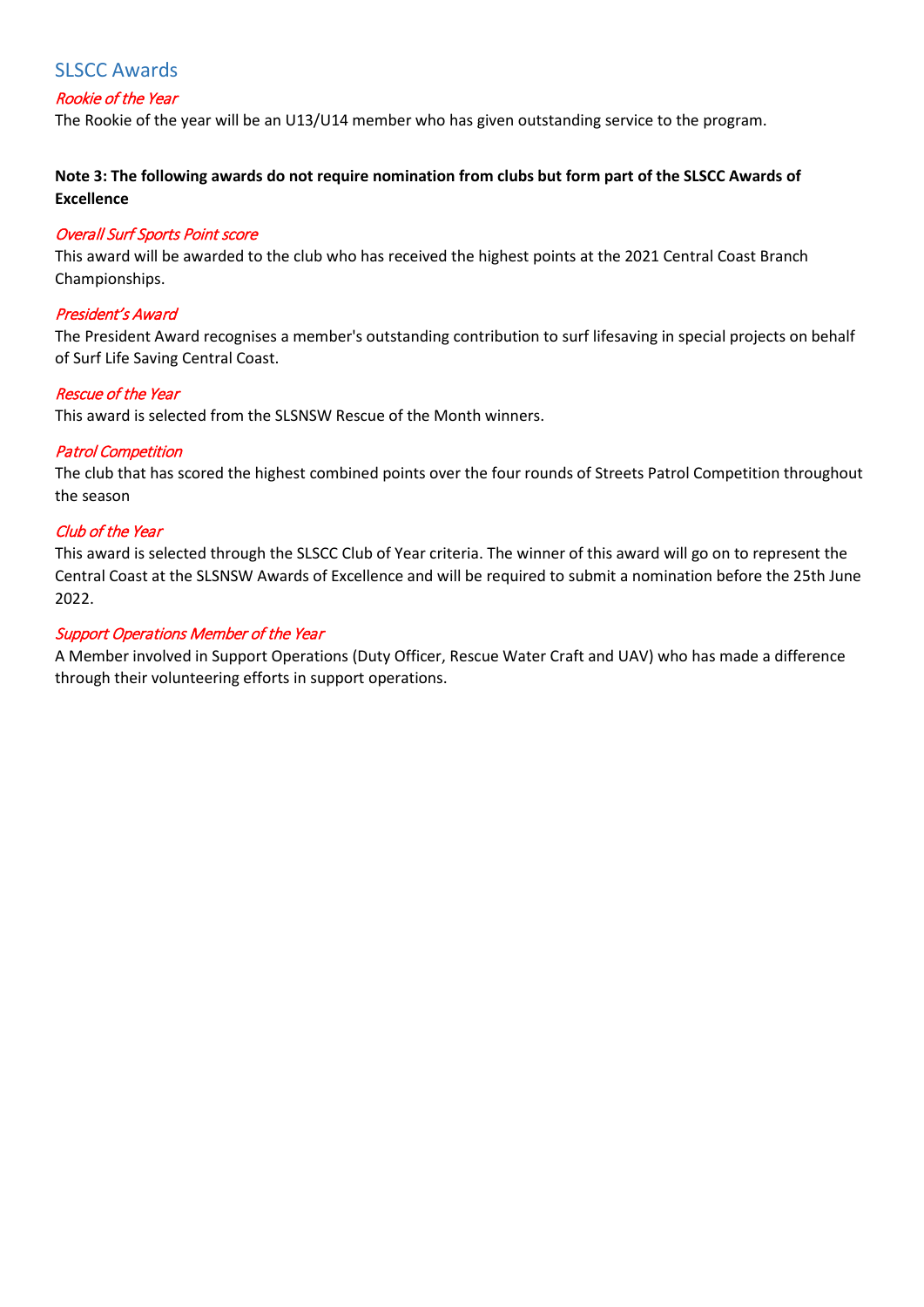### <span id="page-5-0"></span>SLSCC Awards

#### <span id="page-5-1"></span>Rookie of the Year

The Rookie of the year will be an U13/U14 member who has given outstanding service to the program.

**Note 3: The following awards do not require nomination from clubs but form part of the SLSCC Awards of Excellence** 

#### <span id="page-5-2"></span>Overall Surf Sports Point score

This award will be awarded to the club who has received the highest points at the 2021 Central Coast Branch Championships.

#### <span id="page-5-3"></span>President's Award

The President Award recognises a member's outstanding contribution to surf lifesaving in special projects on behalf of Surf Life Saving Central Coast.

#### <span id="page-5-4"></span>Rescue of the Year

This award is selected from the SLSNSW Rescue of the Month winners.

#### <span id="page-5-5"></span>Patrol Competition

The club that has scored the highest combined points over the four rounds of Streets Patrol Competition throughout the season

#### <span id="page-5-6"></span>Club of the Year

This award is selected through the SLSCC Club of Year criteria. The winner of this award will go on to represent the Central Coast at the SLSNSW Awards of Excellence and will be required to submit a nomination before the 25th June 2022.

#### <span id="page-5-7"></span>Support Operations Member of the Year

A Member involved in Support Operations (Duty Officer, Rescue Water Craft and UAV) who has made a difference through their volunteering efforts in support operations.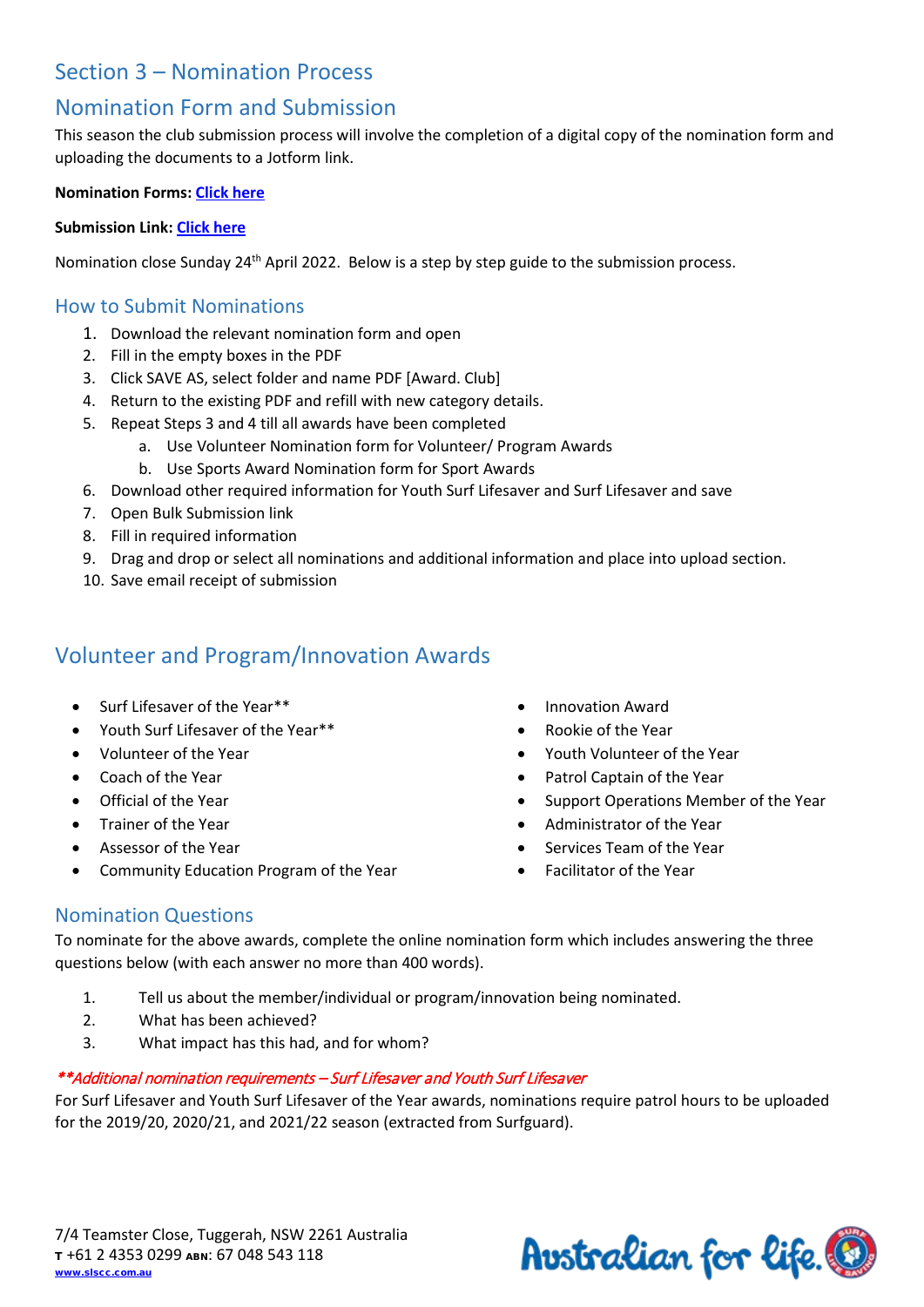# <span id="page-6-0"></span>Section 3 – Nomination Process

# <span id="page-6-1"></span>Nomination Form and Submission

This season the club submission process will involve the completion of a digital copy of the nomination form and uploading the documents to a Jotform link.

#### **Nomination Forms: [Click here](https://slscc.com.au/gwswp/events/awards-of-excellence/#AOESubmissions)**

#### **Submission Link: [Click here](https://slscc.com.au/gwswp/events/awards-of-excellence/#AOESubmissions)**

Nomination close Sunday 24<sup>th</sup> April 2022. Below is a step by step guide to the submission process.

#### <span id="page-6-2"></span>How to Submit Nominations

- 1. Download the relevant nomination form and open
- 2. Fill in the empty boxes in the PDF
- 3. Click SAVE AS, select folder and name PDF [Award. Club]
- 4. Return to the existing PDF and refill with new category details.
- 5. Repeat Steps 3 and 4 till all awards have been completed
	- a. Use Volunteer Nomination form for Volunteer/ Program Awards
	- b. Use Sports Award Nomination form for Sport Awards
- 6. Download other required information for Youth Surf Lifesaver and Surf Lifesaver and save
- 7. Open Bulk Submission link
- 8. Fill in required information
- 9. Drag and drop or select all nominations and additional information and place into upload section.
- 10. Save email receipt of submission

# <span id="page-6-3"></span>Volunteer and Program/Innovation Awards

- Surf Lifesaver of the Year\*\*
- Youth Surf Lifesaver of the Year\*\*
- Volunteer of the Year
- Coach of the Year
- Official of the Year
- Trainer of the Year
- Assessor of the Year
- Community Education Program of the Year
- Innovation Award
- Rookie of the Year
- Youth Volunteer of the Year
- Patrol Captain of the Year
- Support Operations Member of the Year
- Administrator of the Year
- Services Team of the Year
- Facilitator of the Year

#### <span id="page-6-4"></span>Nomination Questions

To nominate for the above awards, complete the online nomination form which includes answering the three questions below (with each answer no more than 400 words).

- 1. Tell us about the member/individual or program/innovation being nominated.
- 2. What has been achieved?
- 3. What impact has this had, and for whom?

### <span id="page-6-5"></span>\*\*Additional nomination requirements – Surf Lifesaver and Youth Surf Lifesaver

For Surf Lifesaver and Youth Surf Lifesaver of the Year awards, nominations require patrol hours to be uploaded for the 2019/20, 2020/21, and 2021/22 season (extracted from Surfguard).

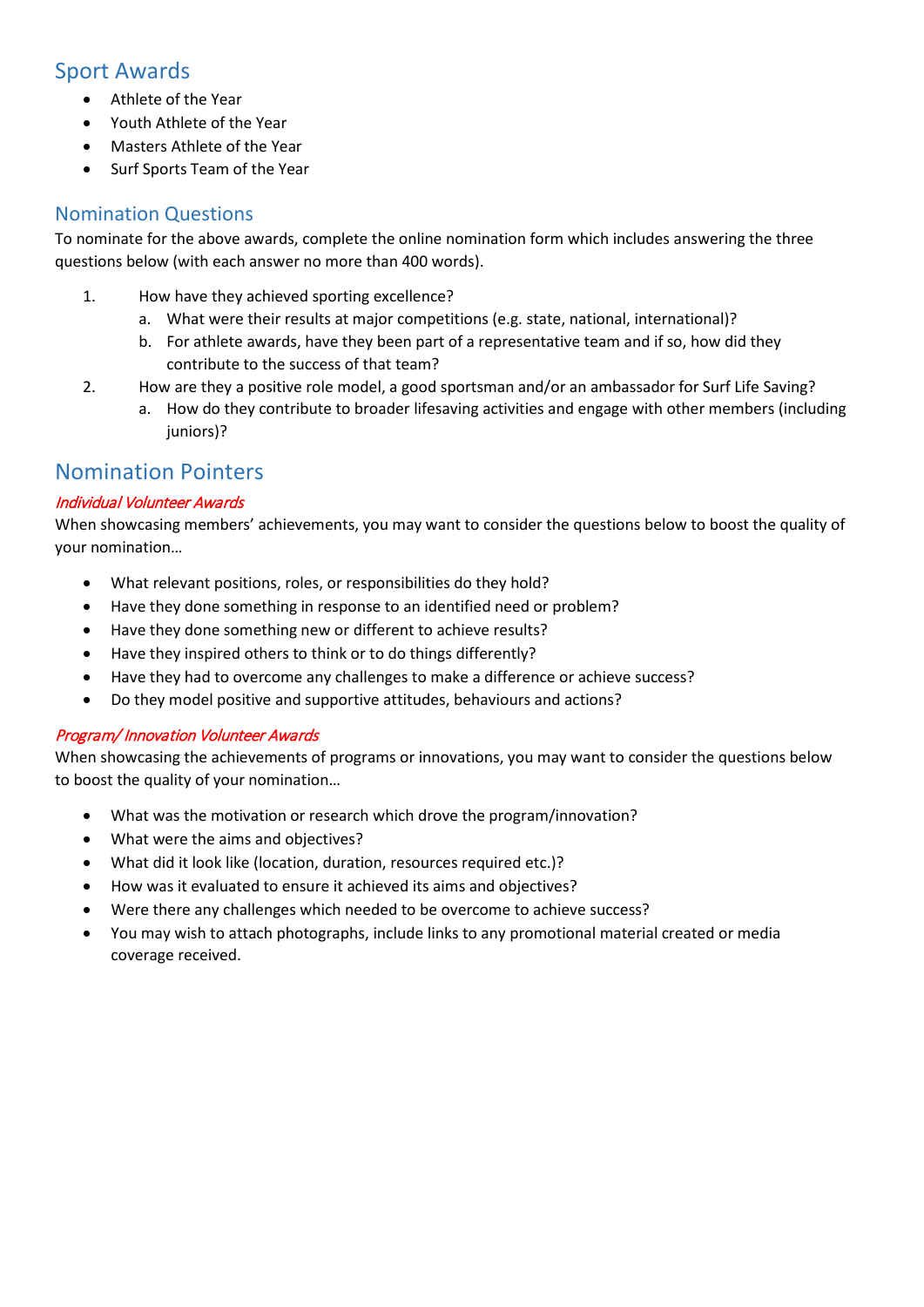# <span id="page-7-0"></span>Sport Awards

- Athlete of the Year
- Youth Athlete of the Year
- Masters Athlete of the Year
- Surf Sports Team of the Year

## <span id="page-7-1"></span>Nomination Questions

To nominate for the above awards, complete the online nomination form which includes answering the three questions below (with each answer no more than 400 words).

- 1. How have they achieved sporting excellence?
	- a. What were their results at major competitions (e.g. state, national, international)?
	- b. For athlete awards, have they been part of a representative team and if so, how did they contribute to the success of that team?
- 2. How are they a positive role model, a good sportsman and/or an ambassador for Surf Life Saving?
	- a. How do they contribute to broader lifesaving activities and engage with other members (including iuniors)?

# <span id="page-7-2"></span>Nomination Pointers

#### Individual Volunteer Awards

When showcasing members' achievements, you may want to consider the questions below to boost the quality of your nomination…

- What relevant positions, roles, or responsibilities do they hold?
- Have they done something in response to an identified need or problem?
- Have they done something new or different to achieve results?
- Have they inspired others to think or to do things differently?
- Have they had to overcome any challenges to make a difference or achieve success?
- Do they model positive and supportive attitudes, behaviours and actions?

#### Program/ Innovation Volunteer Awards

When showcasing the achievements of programs or innovations, you may want to consider the questions below to boost the quality of your nomination…

- What was the motivation or research which drove the program/innovation?
- What were the aims and objectives?
- What did it look like (location, duration, resources required etc.)?
- How was it evaluated to ensure it achieved its aims and objectives?
- Were there any challenges which needed to be overcome to achieve success?
- You may wish to attach photographs, include links to any promotional material created or media coverage received.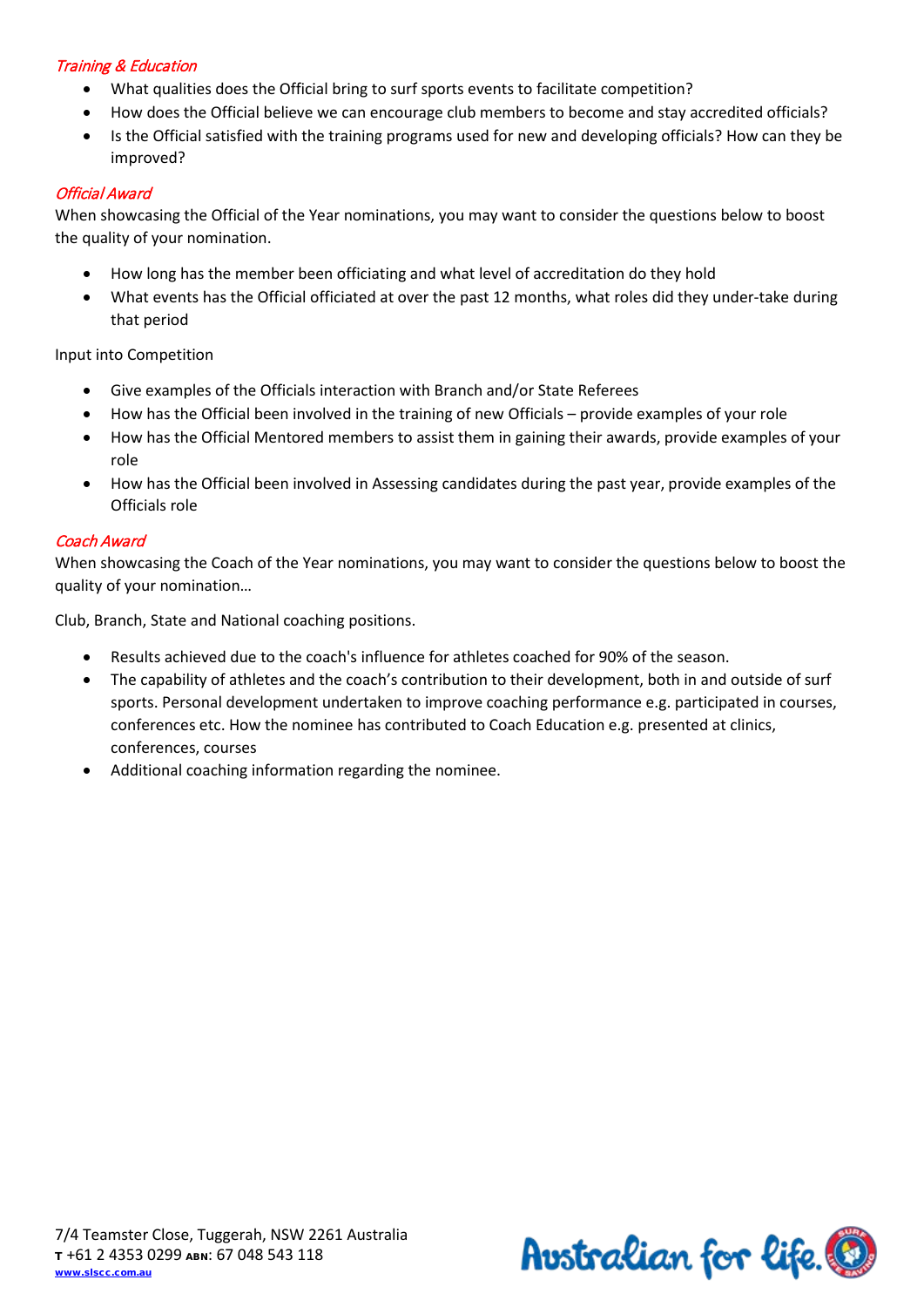#### Training & Education

- What qualities does the Official bring to surf sports events to facilitate competition?
- How does the Official believe we can encourage club members to become and stay accredited officials?
- Is the Official satisfied with the training programs used for new and developing officials? How can they be improved?

#### Official Award

When showcasing the Official of the Year nominations, you may want to consider the questions below to boost the quality of your nomination.

- How long has the member been officiating and what level of accreditation do they hold
- What events has the Official officiated at over the past 12 months, what roles did they under-take during that period

Input into Competition

- Give examples of the Officials interaction with Branch and/or State Referees
- How has the Official been involved in the training of new Officials provide examples of your role
- How has the Official Mentored members to assist them in gaining their awards, provide examples of your role
- How has the Official been involved in Assessing candidates during the past year, provide examples of the Officials role

#### Coach Award

When showcasing the Coach of the Year nominations, you may want to consider the questions below to boost the quality of your nomination…

Club, Branch, State and National coaching positions.

- Results achieved due to the coach's influence for athletes coached for 90% of the season.
- The capability of athletes and the coach's contribution to their development, both in and outside of surf sports. Personal development undertaken to improve coaching performance e.g. participated in courses, conferences etc. How the nominee has contributed to Coach Education e.g. presented at clinics, conferences, courses
- Additional coaching information regarding the nominee.